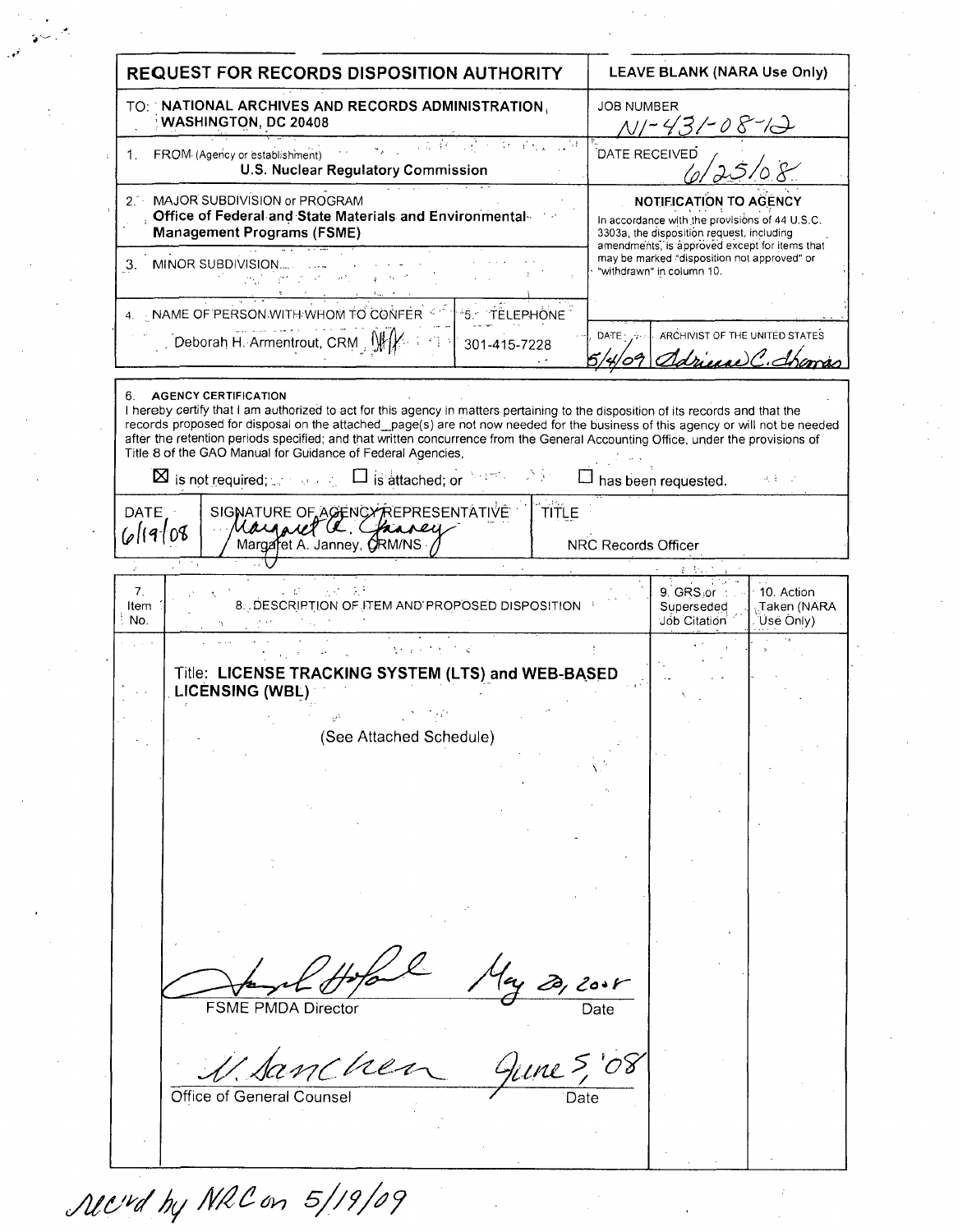**REQUEST FOR RECORDS DISPOSITION AUTHORITY** LEAVE BLANK (NARA Use Only) TO: NATIONAL ARCHIVES AND RECORDS ADMINISTRATION. **JOB NUMBER** WASHINGTON, DC 20408 .<br>DATE RECEIVED 1. FROM (Agency or establishment) **U.S. Nuclear Regulatory Commission** 2. MAJOR SUBDIVISION or PROGRAM **NOTIFICATION TO AGENCY** Office of Federal and State Materials and Environmental In accordance with the provisions of 44 U.S.C. **Management Programs (FSME)** 3303a, the disposition request, including amendments, is approved except for items that may be marked "disposition not approved" or 3. MINOR SUBDIVISION... "withdrawn" in column 10. 4 NAME OF PERSON WITH WHOM TO CONFER 5 TELEPHONE ARCHIVIST OF THE UNITED STATES DATE Deborah H. Armentrout, CRM WH 301-415-7228 driver C. Shama 6. **AGENCY CERTIFICATION** I hereby certify that I am authorized to act for this agency in matters pertaining to the disposition of its records and that the records proposed for disposal on the attached\_page(s) are not now needed for the business of this agency or will not be needed after the retention periods specified; and that written concurrence from the General Accounting Office, under the provisions of Title 8 of the GAO Manual for Guidance of Federal Agencies.  $\boxtimes$  is not required:  $\Box$  is attached: or  $\Box$  has been requested.  $a_1 + \ldots$ SIGNATURE OF AGENCYREPRESENTATIVE **TITLE DATE** 6/19/08 Margaret A. Janney, ORM/NS NRC Records Officer  $\overline{7}$ . 9. GRS or 10. Action Taken (NARA 8. DESCRIPTION OF ITEM AND PROPOSED DISPOSITION Item Superseded No. Job Citation Úsë Only). Title: LICENSE TRACKING SYSTEM (LTS) and WEB-BASED **LICENSING (WBL)** (See Attached Schedule) **FSME PMDA Director** men Office of General Counse

Mcvd by NRC on 5/19/09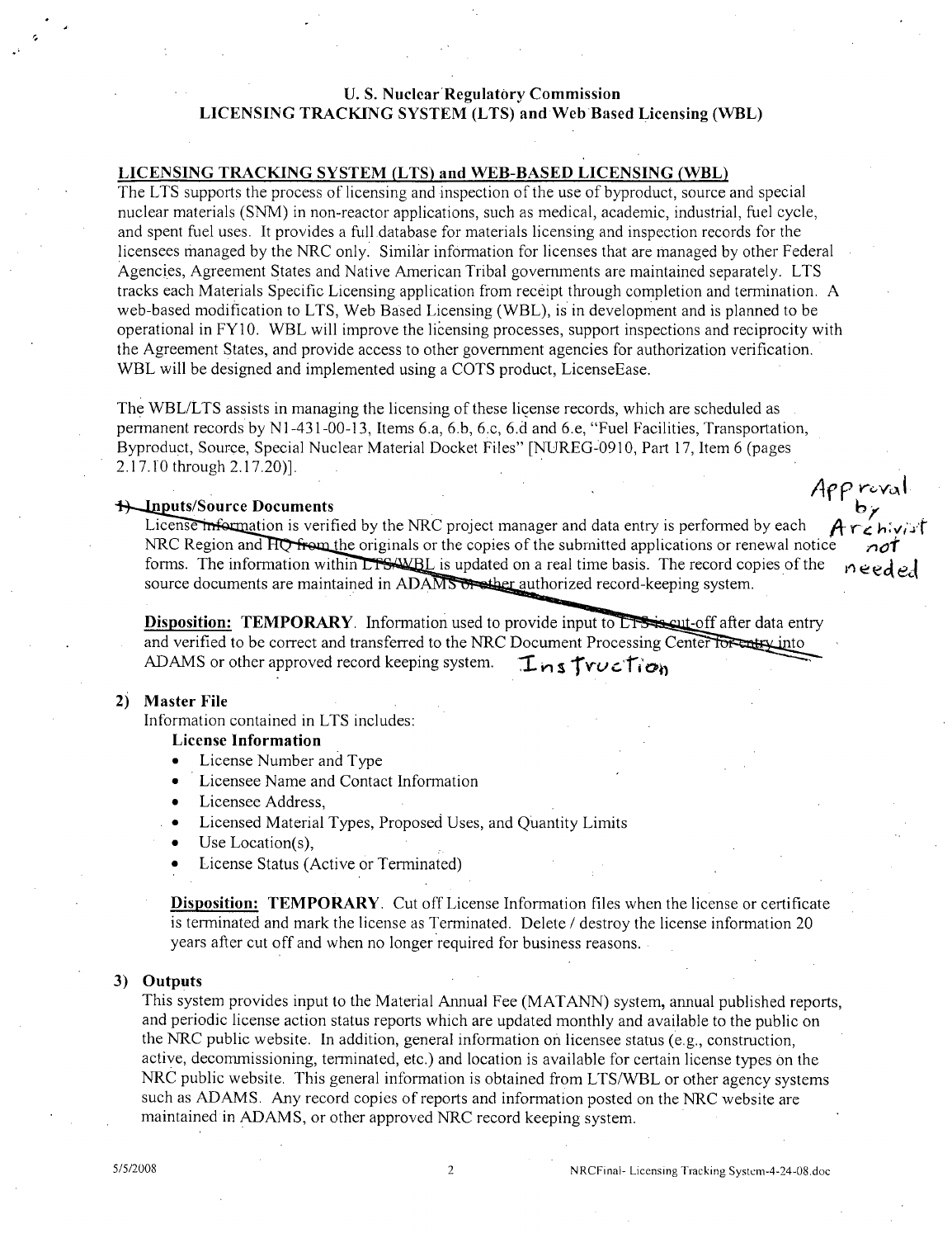# **U. S. Nuclear Regulatory Commission LICENSING** TRACKING SYSTEM **(LTS)** and Web Based Licensing **(WBL)**

# **LICENSING** TRACKING SYSTEM **(LTS)** and WEB-BASED **LICENSING** (WBL)

The LTS supports the process of licensing and inspection of the use of byproduct, source and special nuclear materials (SNM) in non-reactor applications, such as medical, academic, industrial, fuel cycle, and spent fuel uses. It provides a full.database for materials licensing and inspection records for the licensees managed by the NRC only. Similar information for licenses that are managed by other Federal Agencies, Agreement States and Native American Tribal governments are maintained separately. LTS tracks each Materials Specific Licensing application from receipt through completion and termination. A web-based modification to LTS, Web Based Licensing (WBL), is in development and is planned to be operational in FY10. WBL will improve the licensing processes, support inspections and reciprocity with the Agreement States, and provide access to other government agencies for authorization verification. WBL will be designed and implemented using a COTS product, LicenseEase.

The WBL/LTS assists in managing the licensing of these license records, which are scheduled as permanent records by N1-431-00-13, Items 6.a, 6.b, 6.c, 6.d and 6.e, "Fuel Facilities, Transportation, Byproduct, Source, Special Nuclear Material Docket Files" [NUREG-0910, Part 17, Item 6 (pages 2.17.10 through 2.17.20)].

## **us/Source Documents**

License information is verified by the NRC project manager and data entry is performed by each **r**<br>**NRC Region and HO from the originals or the copies of the submitted applications or renewal notice** forms. The information within LTSANBL is updated on a real time basis. The record copies of the **A**  $e$ source documents are maintained in ADAMS  $\overline{\text{O}}$  authorized record-keeping system.

**Disposition: TEMPORARY.** Information used to provide input to **LTS** is out-off after data entry and verified to be correct and transferred to the NRC Document Processing Center for entry into ADAMS or other approved record keeping system. **Lnstruction** 

## 2) Master File

Information contained in LTS includes:

### License Information

- License Number and Type
- Licensee Name and Contact Information
- Licensee Address,
- Licensed Material Types, Proposed Uses, and Quantity Limits
- $\bullet$  Use Location(s),
- License Status (Active or Terminated)

Disposition: TEMPORARY. Cut off License Information files when the license or certificate is terminated and mark the license as Terminated. Delete / destroy the license information 20 years after cut off and when no longer required for business reasons.

## **3)** Outputs

This system provides input to the Material Annual Fee (MATANN) system, annual published reports, and periodic license action status reports which are updated monthly and available to the public on the NRC public website. In addition, general information on licensee status (e.g., construction, active, decommissioning, terminated, etc.) and location is available for certain license types on the NRC public website. This general information is obtained from LTS/WBL or other agency systems such as ADAMS. Any record copies of reports and information posted on the NRC website are maintained in ADAMS, or other approved NRC record keeping system.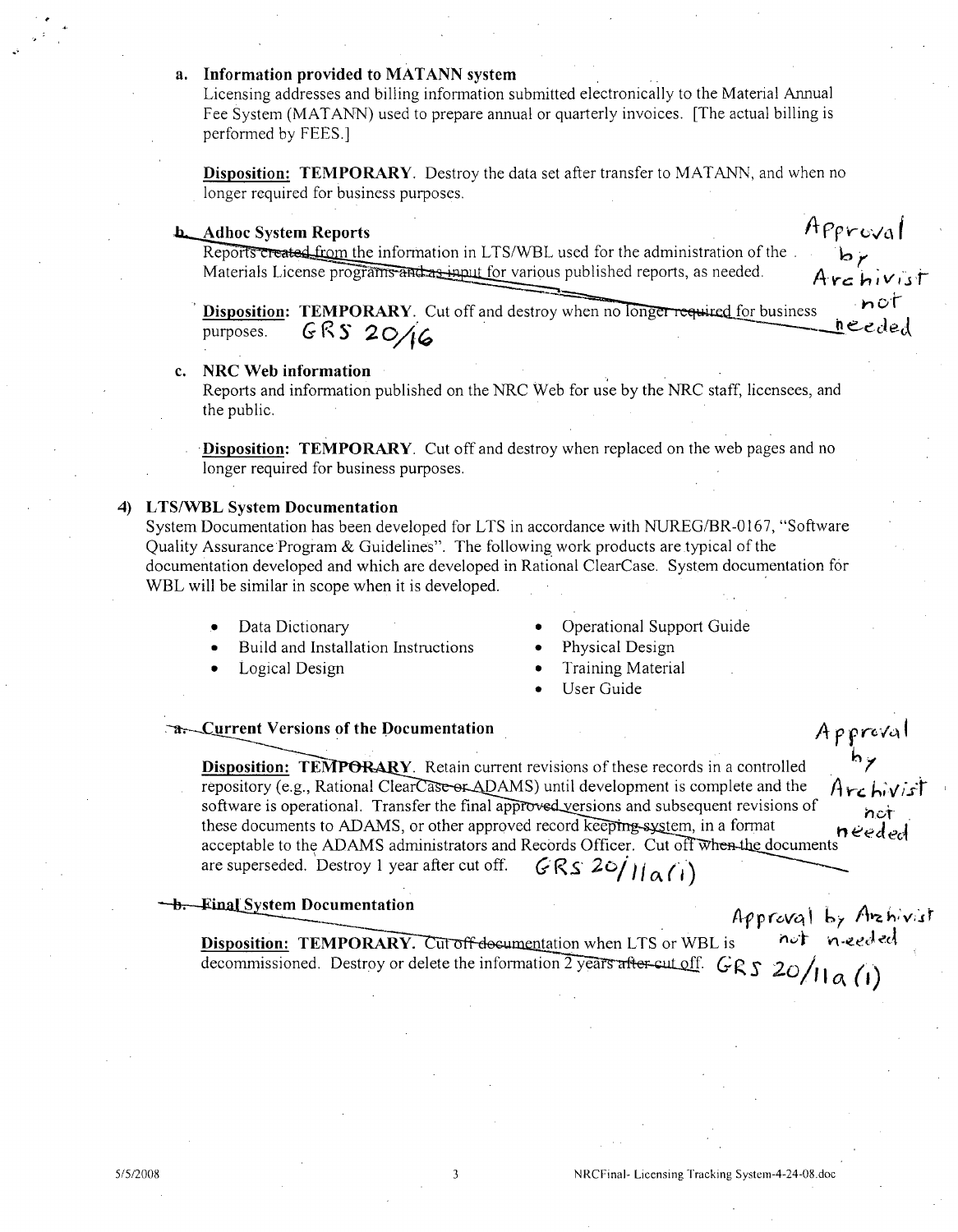## a. Information provided to MATANN system

Licensing addresses and billing information submitted electronically to the Material Annual Fee System (MATANN) used to prepare annual or quarterly invoices. [The actual billing is performed by FEES.]

**Disposition: TEMPORARY**. Destroy the data set after transfer to MATANN, and when no longer required for business purposes.

### **b.** Adhoc System Reports

Approval br<br>Archivist

Reports created from the information in LTS/WBL used for the administration of the. Materials License programs and as input for various published reports, as needed.

 $not$ **Disposition: TEMPORARY.** Cut off and destroy when no longer required for business needed GRS 20/16 purposes.

### c. NRC Web information

Reports and information published on the NRC Web for use by the NRC staff, licensees, and the public.

**Disposition: TEMPORARY**. Cut off and destroy when replaced on the web pages and no longer required for business purposes.

## 4) LTS/WBL System Documentation

System Documentation has been developed for LTS in accordance with NUREG/BR-0167, "Software Ouality Assurance Program & Guidelines". The following work products are typical of the documentation developed and which are developed in Rational ClearCase. System documentation for WBL will be similar in scope when it is developed.

Data Dictionary

- Operational Support Guide
- Build and Installation Instructions
- Logical Design
- Physical Design
- **Training Material**
- User Guide

## **Example 1-2** Current Versions of the Documentation

Approval<br>hy<br>Archivist **Disposition: TEMPORARY**. Retain current revisions of these records in a controlled repository (e.g., Rational ClearCase or ADAMS) until development is complete and the software is operational. Transfer the final approved versions and subsequent revisions of these documents to ADAMS, or other approved record keepting system, in a format needed acceptable to the ADAMS administrators and Records Officer. Cut off when the documents  $GRS20/11a(i)$ are superseded. Destroy 1 year after cut off.

#### b. Final System Documentation

Approval by Archivist<br>s not needed

**Disposition: TEMPORARY.** Cut off-documentation when LTS or WBL is **Disposition:** TEMPORARY. Cut of references when  $\sum y$  is the set of  $GRS$  20/11  $\alpha$  (1)

 $\overline{3}$